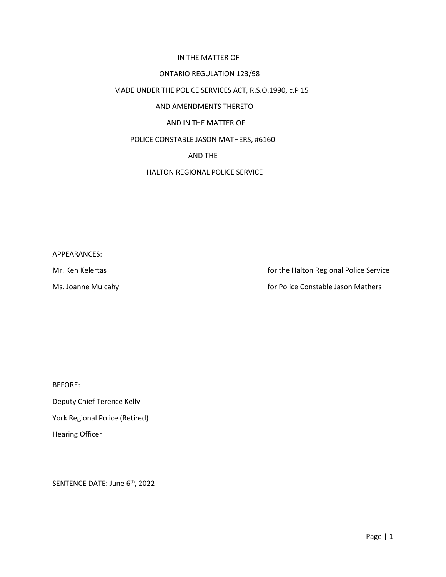### IN THE MATTER OF

### ONTARIO REGULATION 123/98

### MADE UNDER THE POLICE SERVICES ACT, R.S.O.1990, c.P 15

## AND AMENDMENTS THERETO

### AND IN THE MATTER OF

### POLICE CONSTABLE JASON MATHERS, #6160

### AND THE

## HALTON REGIONAL POLICE SERVICE

#### APPEARANCES:

Mr. Ken Kelertas **for the Halton Regional Police Service** Ms. Joanne Mulcahy **Mulcahy for Police Constable Jason Mathers** 

#### BEFORE:

Deputy Chief Terence Kelly York Regional Police (Retired) Hearing Officer

SENTENCE DATE: June 6<sup>th</sup>, 2022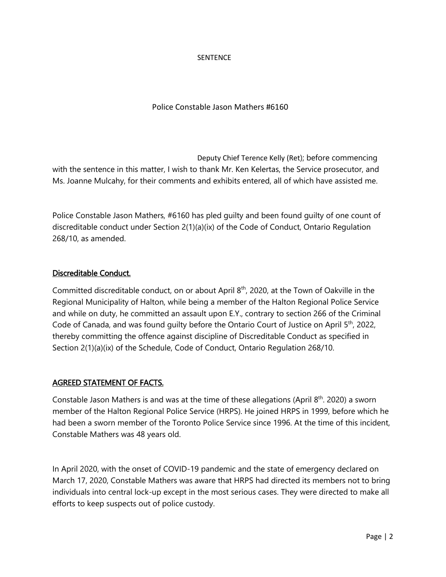## **SENTENCE**

## Police Constable Jason Mathers #6160

 Deputy Chief Terence Kelly (Ret); before commencing with the sentence in this matter, I wish to thank Mr. Ken Kelertas, the Service prosecutor, and Ms. Joanne Mulcahy, for their comments and exhibits entered, all of which have assisted me.

Police Constable Jason Mathers, #6160 has pled guilty and been found guilty of one count of discreditable conduct under Section 2(1)(a)(ix) of the Code of Conduct, Ontario Regulation 268/10, as amended.

# Discreditable Conduct.

Committed discreditable conduct, on or about April 8<sup>th</sup>, 2020, at the Town of Oakville in the Regional Municipality of Halton, while being a member of the Halton Regional Police Service and while on duty, he committed an assault upon E.Y., contrary to section 266 of the Criminal Code of Canada, and was found quilty before the Ontario Court of Justice on April 5<sup>th</sup>, 2022, thereby committing the offence against discipline of Discreditable Conduct as specified in Section 2(1)(a)(ix) of the Schedule, Code of Conduct, Ontario Regulation 268/10.

# AGREED STATEMENT OF FACTS.

Constable Jason Mathers is and was at the time of these allegations (April  $8<sup>th</sup>$ . 2020) a sworn member of the Halton Regional Police Service (HRPS). He joined HRPS in 1999, before which he had been a sworn member of the Toronto Police Service since 1996. At the time of this incident, Constable Mathers was 48 years old.

In April 2020, with the onset of COVID-19 pandemic and the state of emergency declared on March 17, 2020, Constable Mathers was aware that HRPS had directed its members not to bring individuals into central lock-up except in the most serious cases. They were directed to make all efforts to keep suspects out of police custody.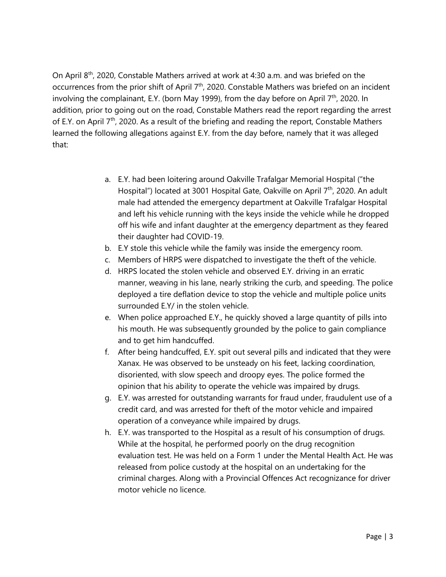On April 8<sup>th</sup>, 2020, Constable Mathers arrived at work at 4:30 a.m. and was briefed on the occurrences from the prior shift of April  $7<sup>th</sup>$ , 2020. Constable Mathers was briefed on an incident involving the complainant, E.Y. (born May 1999), from the day before on April  $7<sup>th</sup>$ , 2020. In addition, prior to going out on the road, Constable Mathers read the report regarding the arrest of E.Y. on April  $7<sup>th</sup>$ , 2020. As a result of the briefing and reading the report, Constable Mathers learned the following allegations against E.Y. from the day before, namely that it was alleged that:

- a. E.Y. had been loitering around Oakville Trafalgar Memorial Hospital ("the Hospital") located at 3001 Hospital Gate, Oakville on April 7<sup>th</sup>, 2020. An adult male had attended the emergency department at Oakville Trafalgar Hospital and left his vehicle running with the keys inside the vehicle while he dropped off his wife and infant daughter at the emergency department as they feared their daughter had COVID-19.
- b. E.Y stole this vehicle while the family was inside the emergency room.
- c. Members of HRPS were dispatched to investigate the theft of the vehicle.
- d. HRPS located the stolen vehicle and observed E.Y. driving in an erratic manner, weaving in his lane, nearly striking the curb, and speeding. The police deployed a tire deflation device to stop the vehicle and multiple police units surrounded E.Y/ in the stolen vehicle.
- e. When police approached E.Y., he quickly shoved a large quantity of pills into his mouth. He was subsequently grounded by the police to gain compliance and to get him handcuffed.
- f. After being handcuffed, E.Y. spit out several pills and indicated that they were Xanax. He was observed to be unsteady on his feet, lacking coordination, disoriented, with slow speech and droopy eyes. The police formed the opinion that his ability to operate the vehicle was impaired by drugs.
- g. E.Y. was arrested for outstanding warrants for fraud under, fraudulent use of a credit card, and was arrested for theft of the motor vehicle and impaired operation of a conveyance while impaired by drugs.
- h. E.Y. was transported to the Hospital as a result of his consumption of drugs. While at the hospital, he performed poorly on the drug recognition evaluation test. He was held on a Form 1 under the Mental Health Act. He was released from police custody at the hospital on an undertaking for the criminal charges. Along with a Provincial Offences Act recognizance for driver motor vehicle no licence.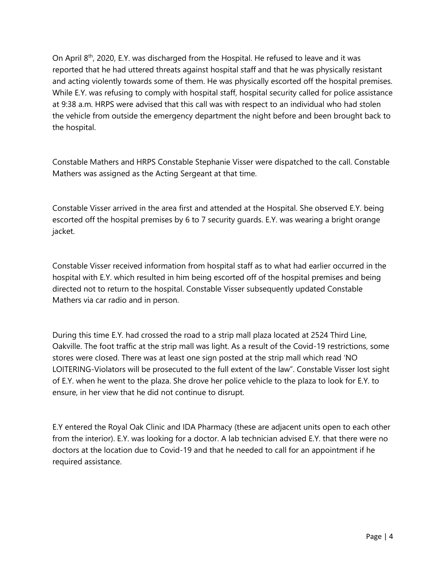On April  $8<sup>th</sup>$ , 2020, E.Y. was discharged from the Hospital. He refused to leave and it was reported that he had uttered threats against hospital staff and that he was physically resistant and acting violently towards some of them. He was physically escorted off the hospital premises. While E.Y. was refusing to comply with hospital staff, hospital security called for police assistance at 9:38 a.m. HRPS were advised that this call was with respect to an individual who had stolen the vehicle from outside the emergency department the night before and been brought back to the hospital.

Constable Mathers and HRPS Constable Stephanie Visser were dispatched to the call. Constable Mathers was assigned as the Acting Sergeant at that time.

Constable Visser arrived in the area first and attended at the Hospital. She observed E.Y. being escorted off the hospital premises by 6 to 7 security guards. E.Y. was wearing a bright orange jacket.

Constable Visser received information from hospital staff as to what had earlier occurred in the hospital with E.Y. which resulted in him being escorted off of the hospital premises and being directed not to return to the hospital. Constable Visser subsequently updated Constable Mathers via car radio and in person.

During this time E.Y. had crossed the road to a strip mall plaza located at 2524 Third Line, Oakville. The foot traffic at the strip mall was light. As a result of the Covid-19 restrictions, some stores were closed. There was at least one sign posted at the strip mall which read 'NO LOITERING-Violators will be prosecuted to the full extent of the law". Constable Visser lost sight of E.Y. when he went to the plaza. She drove her police vehicle to the plaza to look for E.Y. to ensure, in her view that he did not continue to disrupt.

E.Y entered the Royal Oak Clinic and IDA Pharmacy (these are adjacent units open to each other from the interior). E.Y. was looking for a doctor. A lab technician advised E.Y. that there were no doctors at the location due to Covid-19 and that he needed to call for an appointment if he required assistance.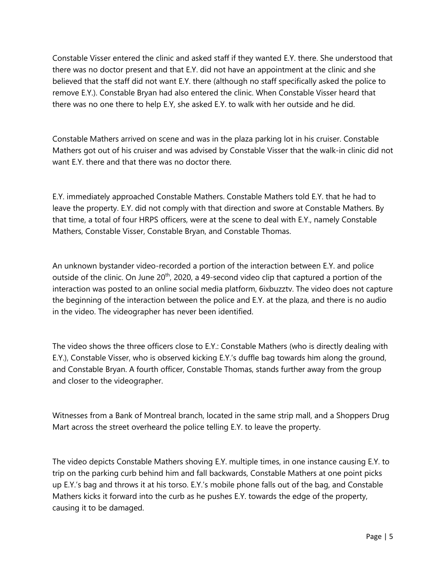Constable Visser entered the clinic and asked staff if they wanted E.Y. there. She understood that there was no doctor present and that E.Y. did not have an appointment at the clinic and she believed that the staff did not want E.Y. there (although no staff specifically asked the police to remove E.Y.). Constable Bryan had also entered the clinic. When Constable Visser heard that there was no one there to help E.Y, she asked E.Y. to walk with her outside and he did.

Constable Mathers arrived on scene and was in the plaza parking lot in his cruiser. Constable Mathers got out of his cruiser and was advised by Constable Visser that the walk-in clinic did not want E.Y. there and that there was no doctor there.

E.Y. immediately approached Constable Mathers. Constable Mathers told E.Y. that he had to leave the property. E.Y. did not comply with that direction and swore at Constable Mathers. By that time, a total of four HRPS officers, were at the scene to deal with E.Y., namely Constable Mathers, Constable Visser, Constable Bryan, and Constable Thomas.

An unknown bystander video-recorded a portion of the interaction between E.Y. and police outside of the clinic. On June 20<sup>th</sup>, 2020, a 49-second video clip that captured a portion of the interaction was posted to an online social media platform, 6ixbuzztv. The video does not capture the beginning of the interaction between the police and E.Y. at the plaza, and there is no audio in the video. The videographer has never been identified.

The video shows the three officers close to E.Y.: Constable Mathers (who is directly dealing with E.Y.), Constable Visser, who is observed kicking E.Y.'s duffle bag towards him along the ground, and Constable Bryan. A fourth officer, Constable Thomas, stands further away from the group and closer to the videographer.

Witnesses from a Bank of Montreal branch, located in the same strip mall, and a Shoppers Drug Mart across the street overheard the police telling E.Y. to leave the property.

The video depicts Constable Mathers shoving E.Y. multiple times, in one instance causing E.Y. to trip on the parking curb behind him and fall backwards, Constable Mathers at one point picks up E.Y.'s bag and throws it at his torso. E.Y.'s mobile phone falls out of the bag, and Constable Mathers kicks it forward into the curb as he pushes E.Y. towards the edge of the property, causing it to be damaged.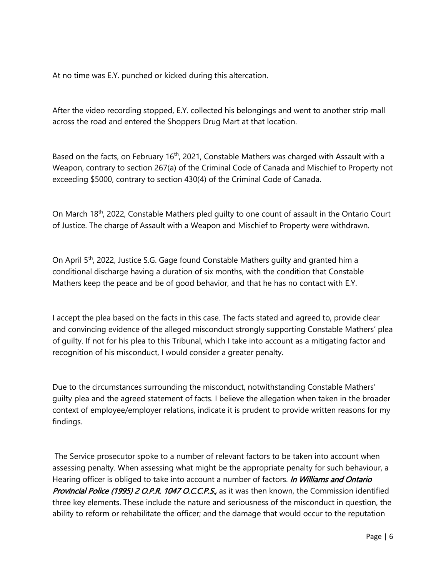At no time was E.Y. punched or kicked during this altercation.

After the video recording stopped, E.Y. collected his belongings and went to another strip mall across the road and entered the Shoppers Drug Mart at that location.

Based on the facts, on February 16<sup>th</sup>, 2021, Constable Mathers was charged with Assault with a Weapon, contrary to section 267(a) of the Criminal Code of Canada and Mischief to Property not exceeding \$5000, contrary to section 430(4) of the Criminal Code of Canada.

On March 18<sup>th</sup>, 2022, Constable Mathers pled quilty to one count of assault in the Ontario Court of Justice. The charge of Assault with a Weapon and Mischief to Property were withdrawn.

On April 5<sup>th</sup>, 2022, Justice S.G. Gage found Constable Mathers guilty and granted him a conditional discharge having a duration of six months, with the condition that Constable Mathers keep the peace and be of good behavior, and that he has no contact with E.Y.

I accept the plea based on the facts in this case. The facts stated and agreed to, provide clear and convincing evidence of the alleged misconduct strongly supporting Constable Mathers' plea of guilty. If not for his plea to this Tribunal, which I take into account as a mitigating factor and recognition of his misconduct, I would consider a greater penalty.

Due to the circumstances surrounding the misconduct, notwithstanding Constable Mathers' guilty plea and the agreed statement of facts. I believe the allegation when taken in the broader context of employee/employer relations, indicate it is prudent to provide written reasons for my findings.

The Service prosecutor spoke to a number of relevant factors to be taken into account when assessing penalty. When assessing what might be the appropriate penalty for such behaviour, a Hearing officer is obliged to take into account a number of factors. In Williams and Ontario Provincial Police (1995) 2 O.P.R. 1047 O.C.C.P.S., as it was then known, the Commission identified three key elements. These include the nature and seriousness of the misconduct in question, the ability to reform or rehabilitate the officer; and the damage that would occur to the reputation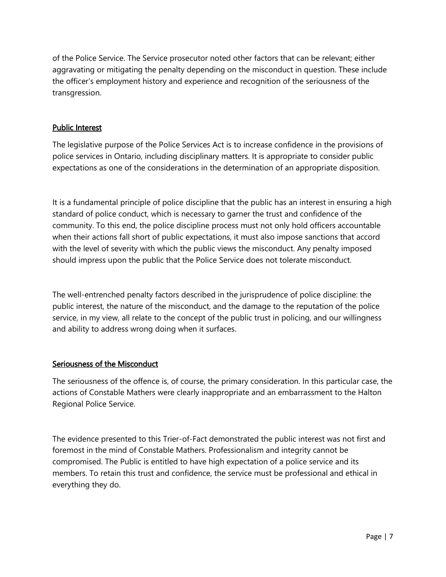of the Police Service. The Service prosecutor noted other factors that can be relevant; either aggravating or mitigating the penalty depending on the misconduct in question. These include the officer's employment history and experience and recognition of the seriousness of the transgression.

# Public Interest

The legislative purpose of the Police Services Act is to increase confidence in the provisions of police services in Ontario, including disciplinary matters. It is appropriate to consider public expectations as one of the considerations in the determination of an appropriate disposition.

It is a fundamental principle of police discipline that the public has an interest in ensuring a high standard of police conduct, which is necessary to garner the trust and confidence of the community. To this end, the police discipline process must not only hold officers accountable when their actions fall short of public expectations, it must also impose sanctions that accord with the level of severity with which the public views the misconduct. Any penalty imposed should impress upon the public that the Police Service does not tolerate misconduct.

The well-entrenched penalty factors described in the jurisprudence of police discipline: the public interest, the nature of the misconduct, and the damage to the reputation of the police service, in my view, all relate to the concept of the public trust in policing, and our willingness and ability to address wrong doing when it surfaces.

# Seriousness of the Misconduct

The seriousness of the offence is, of course, the primary consideration. In this particular case, the actions of Constable Mathers were clearly inappropriate and an embarrassment to the Halton Regional Police Service.

The evidence presented to this Trier-of-Fact demonstrated the public interest was not first and foremost in the mind of Constable Mathers. Professionalism and integrity cannot be compromised. The Public is entitled to have high expectation of a police service and its members. To retain this trust and confidence, the service must be professional and ethical in everything they do.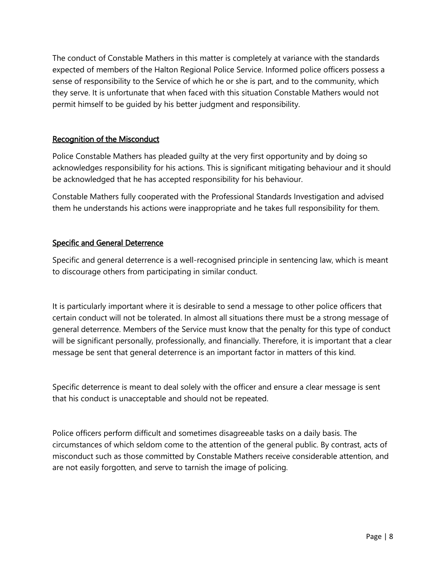The conduct of Constable Mathers in this matter is completely at variance with the standards expected of members of the Halton Regional Police Service. Informed police officers possess a sense of responsibility to the Service of which he or she is part, and to the community, which they serve. It is unfortunate that when faced with this situation Constable Mathers would not permit himself to be guided by his better judgment and responsibility.

# Recognition of the Misconduct

Police Constable Mathers has pleaded guilty at the very first opportunity and by doing so acknowledges responsibility for his actions. This is significant mitigating behaviour and it should be acknowledged that he has accepted responsibility for his behaviour.

Constable Mathers fully cooperated with the Professional Standards Investigation and advised them he understands his actions were inappropriate and he takes full responsibility for them.

# Specific and General Deterrence

Specific and general deterrence is a well-recognised principle in sentencing law, which is meant to discourage others from participating in similar conduct.

It is particularly important where it is desirable to send a message to other police officers that certain conduct will not be tolerated. In almost all situations there must be a strong message of general deterrence. Members of the Service must know that the penalty for this type of conduct will be significant personally, professionally, and financially. Therefore, it is important that a clear message be sent that general deterrence is an important factor in matters of this kind.

Specific deterrence is meant to deal solely with the officer and ensure a clear message is sent that his conduct is unacceptable and should not be repeated.

Police officers perform difficult and sometimes disagreeable tasks on a daily basis. The circumstances of which seldom come to the attention of the general public. By contrast, acts of misconduct such as those committed by Constable Mathers receive considerable attention, and are not easily forgotten, and serve to tarnish the image of policing.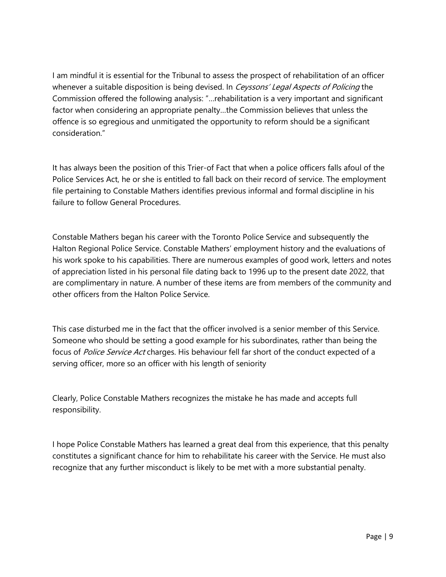I am mindful it is essential for the Tribunal to assess the prospect of rehabilitation of an officer whenever a suitable disposition is being devised. In *Ceyssons' Legal Aspects of Policing* the Commission offered the following analysis: "…rehabilitation is a very important and significant factor when considering an appropriate penalty…the Commission believes that unless the offence is so egregious and unmitigated the opportunity to reform should be a significant consideration."

It has always been the position of this Trier-of Fact that when a police officers falls afoul of the Police Services Act, he or she is entitled to fall back on their record of service. The employment file pertaining to Constable Mathers identifies previous informal and formal discipline in his failure to follow General Procedures.

Constable Mathers began his career with the Toronto Police Service and subsequently the Halton Regional Police Service. Constable Mathers' employment history and the evaluations of his work spoke to his capabilities. There are numerous examples of good work, letters and notes of appreciation listed in his personal file dating back to 1996 up to the present date 2022, that are complimentary in nature. A number of these items are from members of the community and other officers from the Halton Police Service.

This case disturbed me in the fact that the officer involved is a senior member of this Service. Someone who should be setting a good example for his subordinates, rather than being the focus of Police Service Act charges. His behaviour fell far short of the conduct expected of a serving officer, more so an officer with his length of seniority

Clearly, Police Constable Mathers recognizes the mistake he has made and accepts full responsibility.

I hope Police Constable Mathers has learned a great deal from this experience, that this penalty constitutes a significant chance for him to rehabilitate his career with the Service. He must also recognize that any further misconduct is likely to be met with a more substantial penalty.